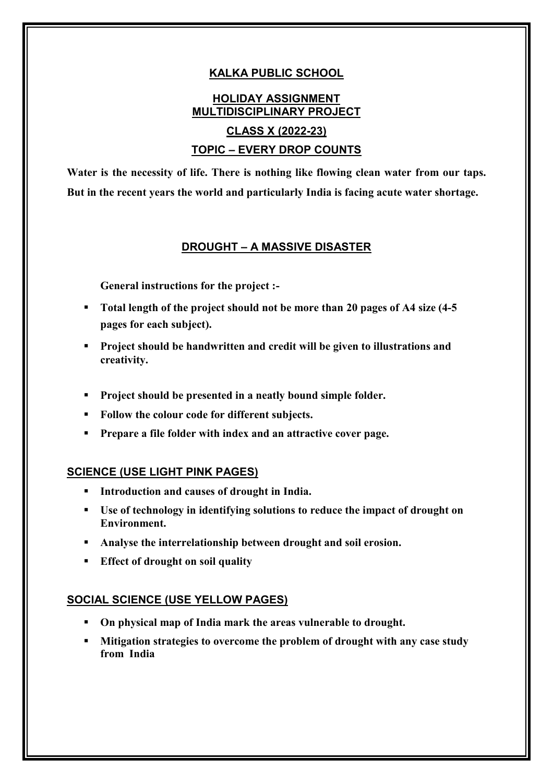## **KALKA PUBLIC SCHOOL**

# **HOLIDAY ASSIGNMENT MULTIDISCIPLINARY PROJECT CLASS X (2022-23) TOPIC – EVERY DROP COUNTS**

**Water is the necessity of life. There is nothing like flowing clean water from our taps. But in the recent years the world and particularly India is facing acute water shortage.**

### **DROUGHT – A MASSIVE DISASTER**

**General instructions for the project :-**

- **Total length of the project should not be more than 20 pages of A4 size (4-5 pages for each subject).**
- **Project should be handwritten and credit will be given to illustrations and creativity.**
- **Project should be presented in a neatly bound simple folder.**
- **Follow the colour code for different subjects.**
- **Prepare a file folder with index and an attractive cover page.**

#### **SCIENCE (USE LIGHT PINK PAGES)**

- **Introduction and causes of drought in India.**
- **Use of technology in identifying solutions to reduce the impact of drought on Environment.**
- **Analyse the interrelationship between drought and soil erosion.**
- **Effect of drought on soil quality**

#### **SOCIAL SCIENCE (USE YELLOW PAGES)**

- **On physical map of India mark the areas vulnerable to drought.**
- **Mitigation strategies to overcome the problem of drought with any case study from India**